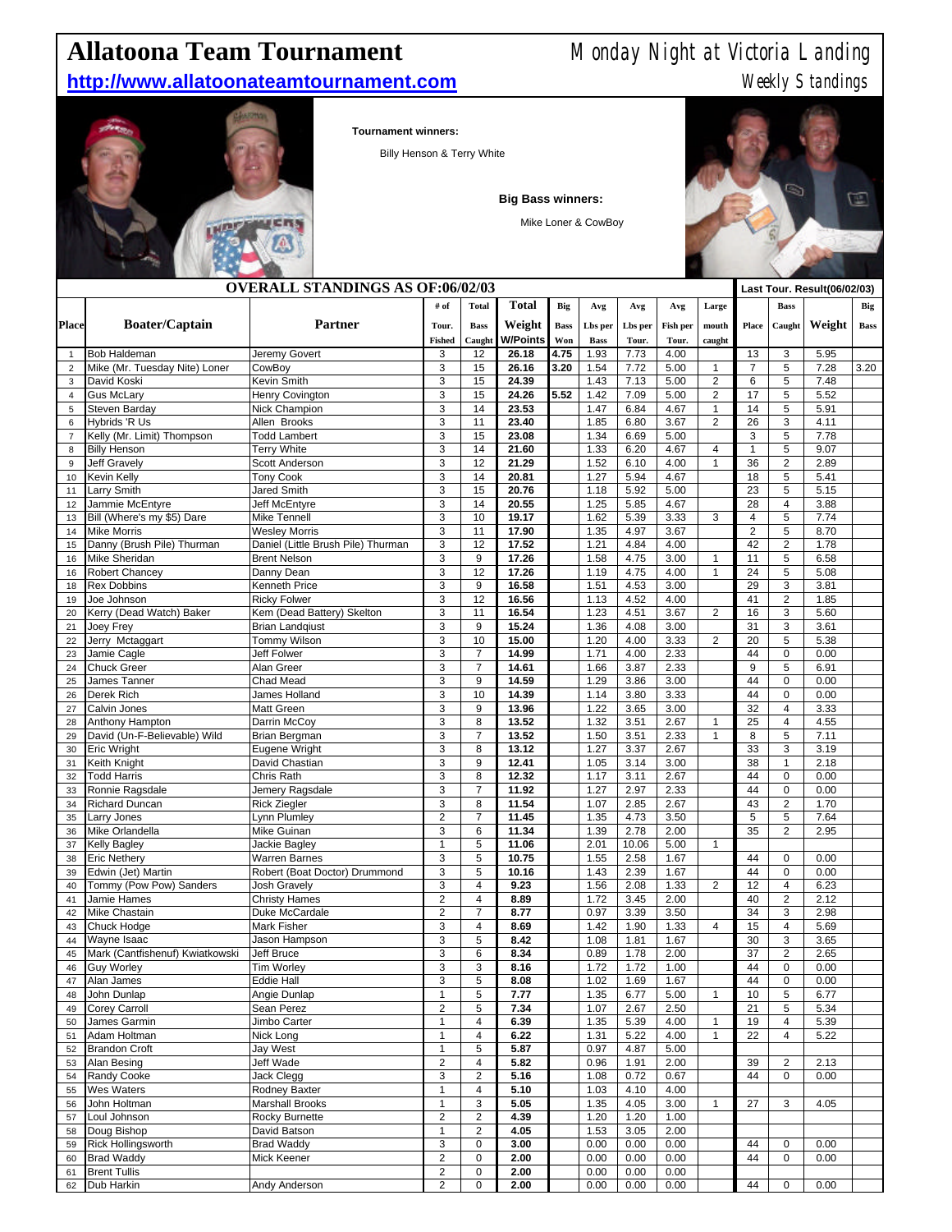## **Allatoona Team Tournament** Monday Night at Victoria Landing

## **http://www.allatoonateamtournament.com** Meekly Standings



**Tournament winners:**

Billy Henson & Terry White

**Big Bass winners:**

Mike Loner & CowBoy



| <b>OVERALL STANDINGS AS OF:06/02/03</b> |                                 |                                        |                |                     |                |             |                        |              | Last Tour. Result(06/02/03) |                         |                |                                  |              |             |
|-----------------------------------------|---------------------------------|----------------------------------------|----------------|---------------------|----------------|-------------|------------------------|--------------|-----------------------------|-------------------------|----------------|----------------------------------|--------------|-------------|
|                                         |                                 |                                        | # of           | <b>Total</b>        | <b>Total</b>   | Big         | Avg                    | Avg          | Avg                         | Large                   |                | <b>Bass</b>                      |              | Big         |
| <b>Place</b>                            | <b>Boater/Captain</b>           | <b>Partner</b>                         | Tour.          | <b>Bass</b>         | Weight         | <b>Bass</b> |                        | Lbs per      | Fish per                    | mouth                   | Place          | Caught                           | Weight       | <b>Bass</b> |
|                                         |                                 |                                        | <b>Fished</b>  | Caught              | W/Points       | Won         | Lbs per<br><b>Bass</b> | Tour.        | Tour.                       | caught                  |                |                                  |              |             |
| $\mathbf{1}$                            | <b>Bob Haldeman</b>             | Jeremy Govert                          | 3              | 12                  | 26.18          | 4.75        | 1.93                   | 7.73         | 4.00                        |                         | 13             | 3                                | 5.95         |             |
| $\overline{2}$                          | Mike (Mr. Tuesday Nite) Loner   | CowBoy                                 | 3              | 15                  | 26.16          | 3.20        | 1.54                   | 7.72         | 5.00                        | $\mathbf{1}$            | $\overline{7}$ | 5                                | 7.28         | 3.20        |
| 3                                       | David Koski                     | Kevin Smith                            | 3              | 15                  | 24.39          |             | 1.43                   | 7.13         | 5.00                        | $\overline{2}$          | 6              | 5                                | 7.48         |             |
| $\overline{4}$                          | <b>Gus McLary</b>               | Henry Covington                        | 3              | 15                  | 24.26          | 5.52        | 1.42                   | 7.09         | 5.00                        | $\overline{c}$          | 17             | 5                                | 5.52         |             |
| 5                                       | Steven Barday                   | Nick Champion                          | 3              | 14                  | 23.53          |             | 1.47                   | 6.84         | 4.67                        | $\mathbf{1}$            | 14             | 5                                | 5.91         |             |
| 6                                       | Hybrids 'R Us                   | Allen Brooks                           | 3              | 11                  | 23.40          |             | 1.85                   | 6.80         | 3.67                        | $\overline{2}$          | 26             | 3                                | 4.11         |             |
| $\overline{7}$                          | Kelly (Mr. Limit) Thompson      | <b>Todd Lambert</b>                    | 3              | 15                  | 23.08          |             | 1.34                   | 6.69         | 5.00                        |                         | 3              | 5                                | 7.78         |             |
| 8                                       | <b>Billy Henson</b>             | <b>Terry White</b>                     | 3              | 14                  | 21.60          |             | 1.33                   | 6.20         | 4.67                        | $\overline{\mathbf{4}}$ | $\mathbf{1}$   | 5                                | 9.07         |             |
| 9                                       | <b>Jeff Gravely</b>             | Scott Anderson                         | 3              | 12                  | 21.29          |             | 1.52                   | 6.10         | 4.00                        | $\mathbf{1}$            | 36             | $\overline{c}$                   | 2.89         |             |
| 10<br>11                                | Kevin Kelly<br>Larry Smith      | <b>Tony Cook</b><br><b>Jared Smith</b> | 3<br>3         | 14<br>15            | 20.81<br>20.76 |             | 1.27<br>1.18           | 5.94<br>5.92 | 4.67<br>5.00                |                         | 18<br>23       | 5<br>5                           | 5.41<br>5.15 |             |
| 12                                      | Jammie McEntyre                 | Jeff McEntyre                          | 3              | 14                  | 20.55          |             | 1.25                   | 5.85         | 4.67                        |                         | 28             | $\overline{\mathbf{4}}$          | 3.88         |             |
| 13                                      | Bill (Where's my \$5) Dare      | Mike Tennell                           | 3              | 10                  | 19.17          |             | 1.62                   | 5.39         | 3.33                        | 3                       | 4              | 5                                | 7.74         |             |
| 14                                      | <b>Mike Morris</b>              | <b>Wesley Morris</b>                   | 3              | 11                  | 17.90          |             | 1.35                   | 4.97         | 3.67                        |                         | $\overline{2}$ | 5                                | 8.70         |             |
| 15                                      | Danny (Brush Pile) Thurman      | Daniel (Little Brush Pile) Thurman     | 3              | 12                  | 17.52          |             | 1.21                   | 4.84         | 4.00                        |                         | 42             | $\overline{c}$                   | 1.78         |             |
| 16                                      | Mike Sheridan                   | <b>Brent Nelson</b>                    | 3              | $9\,$               | 17.26          |             | 1.58                   | 4.75         | 3.00                        | $\mathbf{1}$            | 11             | 5                                | 6.58         |             |
| 16                                      | Robert Chancey                  | Danny Dean                             | 3              | 12                  | 17.26          |             | 1.19                   | 4.75         | 4.00                        | 1                       | 24             | 5                                | 5.08         |             |
| 18                                      | <b>Rex Dobbins</b>              | Kenneth Price                          | 3              | $9\,$               | 16.58          |             | 1.51                   | 4.53         | 3.00                        |                         | 29             | 3                                | 3.81         |             |
| 19                                      | Joe Johnson                     | <b>Ricky Folwer</b>                    | 3              | 12                  | 16.56          |             | 1.13                   | 4.52         | 4.00                        |                         | 41             | $\overline{\mathbf{c}}$          | 1.85         |             |
| 20                                      | Kerry (Dead Watch) Baker        | Kem (Dead Battery) Skelton             | 3              | 11                  | 16.54          |             | 1.23                   | 4.51         | 3.67                        | $\overline{2}$          | 16             | 3                                | 5.60         |             |
| 21                                      | Joey Frey                       | <b>Brian Landqiust</b>                 | 3              | $9\,$               | 15.24          |             | 1.36                   | 4.08         | 3.00                        |                         | 31             | 3                                | 3.61         |             |
| 22                                      | Jerry Mctaggart                 | <b>Tommy Wilson</b>                    | 3              | 10                  | 15.00          |             | 1.20                   | 4.00         | 3.33                        | $\overline{2}$          | 20             | 5                                | 5.38         |             |
| 23                                      | Jamie Cagle                     | Jeff Folwer                            | 3              | $\overline{7}$      | 14.99          |             | 1.71                   | 4.00         | 2.33                        |                         | 44             | 0                                | 0.00         |             |
| 24                                      | <b>Chuck Greer</b>              | Alan Greer                             | 3              | $\overline{7}$      | 14.61          |             | 1.66                   | 3.87         | 2.33                        |                         | 9              | 5                                | 6.91         |             |
| 25                                      | James Tanner                    | Chad Mead                              | 3              | $9\,$               | 14.59          |             | 1.29                   | 3.86         | 3.00                        |                         | 44             | 0                                | 0.00         |             |
| 26                                      | Derek Rich                      | James Holland                          | 3              | 10                  | 14.39          |             | 1.14                   | 3.80         | 3.33                        |                         | 44             | 0                                | 0.00         |             |
| 27                                      | Calvin Jones<br>Anthony Hampton | Matt Green                             | 3<br>3         | $9\,$<br>8          | 13.96          |             | 1.22                   | 3.65         | 3.00                        | $\mathbf{1}$            | 32<br>25       | $\overline{4}$<br>$\overline{4}$ | 3.33         |             |
| 28<br>29                                | David (Un-F-Believable) Wild    | Darrin McCoy<br>Brian Bergman          | 3              | $\overline{7}$      | 13.52<br>13.52 |             | 1.32<br>1.50           | 3.51<br>3.51 | 2.67<br>2.33                | $\mathbf{1}$            | 8              | 5                                | 4.55<br>7.11 |             |
| 30                                      | Eric Wright                     | Eugene Wright                          | 3              | 8                   | 13.12          |             | 1.27                   | 3.37         | 2.67                        |                         | 33             | 3                                | 3.19         |             |
| 31                                      | Keith Knight                    | David Chastian                         | 3              | 9                   | 12.41          |             | 1.05                   | 3.14         | 3.00                        |                         | 38             | $\mathbf{1}$                     | 2.18         |             |
| 32                                      | <b>Todd Harris</b>              | Chris Rath                             | 3              | 8                   | 12.32          |             | 1.17                   | 3.11         | 2.67                        |                         | 44             | 0                                | 0.00         |             |
| 33                                      | Ronnie Ragsdale                 | Jemery Ragsdale                        | 3              | 7                   | 11.92          |             | 1.27                   | 2.97         | 2.33                        |                         | 44             | 0                                | 0.00         |             |
| 34                                      | Richard Duncan                  | <b>Rick Ziegler</b>                    | 3              | 8                   | 11.54          |             | 1.07                   | 2.85         | 2.67                        |                         | 43             | $\overline{c}$                   | 1.70         |             |
| 35                                      | Larry Jones                     | Lynn Plumley                           | $\overline{2}$ | $\overline{7}$      | 11.45          |             | 1.35                   | 4.73         | 3.50                        |                         | 5              | 5                                | 7.64         |             |
| 36                                      | Mike Orlandella                 | Mike Guinan                            | 3              | 6                   | 11.34          |             | 1.39                   | 2.78         | 2.00                        |                         | 35             | $\overline{2}$                   | 2.95         |             |
| 37                                      | <b>Kelly Bagley</b>             | Jackie Bagley                          | $\mathbf{1}$   | 5                   | 11.06          |             | 2.01                   | 10.06        | 5.00                        | $\mathbf{1}$            |                |                                  |              |             |
| 38                                      | <b>Eric Nethery</b>             | <b>Warren Barnes</b>                   | 3              | 5                   | 10.75          |             | 1.55                   | 2.58         | 1.67                        |                         | 44             | 0                                | 0.00         |             |
| 39                                      | Edwin (Jet) Martin              | Robert (Boat Doctor) Drummond          | 3              | 5                   | 10.16          |             | 1.43                   | 2.39         | 1.67                        |                         | 44             | 0                                | 0.00         |             |
| 40                                      | Tommy (Pow Pow) Sanders         | <b>Josh Gravely</b>                    | 3              | $\overline{4}$      | 9.23           |             | 1.56                   | 2.08         | 1.33                        | $\overline{2}$          | 12             | $\overline{4}$                   | 6.23         |             |
| 41                                      | Jamie Hames                     | <b>Christy Hames</b>                   | $\overline{2}$ | $\overline{4}$      | 8.89           |             | 1.72                   | 3.45         | 2.00                        |                         | 40             | $\overline{\mathbf{c}}$          | 2.12         |             |
| 42                                      | <b>Mike Chastain</b>            | Duke McCardale                         | $\overline{2}$ | $\overline{7}$      | 8.77           |             | 0.97                   | 3.39         | 3.50                        |                         | 34             | 3                                | 2.98         |             |
| 43<br>44                                | Chuck Hodge<br>Wayne Isaac      | Mark Fisher                            | 3<br>3         | $\overline{4}$<br>5 | 8.69<br>8.42   |             | 1.42<br>1.08           | 1.90         | 1.33<br>1.67                | $\overline{4}$          | 15<br>30       | $\overline{4}$<br>3              | 5.69         |             |
| 45                                      | Mark (Cantfishenuf) Kwiatkowski | Jason Hampson<br>Jeff Bruce            | 3              | 6                   | 8.34           |             | 0.89                   | 1.81<br>1.78 | 2.00                        |                         | 37             | $\overline{\mathbf{c}}$          | 3.65<br>2.65 |             |
| 46                                      | <b>Guy Worley</b>               | <b>Tim Worley</b>                      | 3              | 3                   | 8.16           |             | 1.72                   | 1.72         | 1.00                        |                         | 44             | $\overline{0}$                   | 0.00         |             |
| 47                                      | Alan James                      | Eddie Hall                             | 3              | 5                   | 8.08           |             | 1.02                   | 1.69         | 1.67                        |                         | 44             | 0                                | 0.00         |             |
| 48                                      | John Dunlap                     | Angie Dunlap                           | $\mathbf{1}$   | 5                   | 7.77           |             | 1.35                   | 6.77         | 5.00                        | $\mathbf{1}$            | 10             | 5                                | 6.77         |             |
| 49                                      | <b>Corey Carroll</b>            | Sean Perez                             | $\overline{2}$ | 5                   | 7.34           |             | 1.07                   | 2.67         | 2.50                        |                         | 21             | 5                                | 5.34         |             |
| 50                                      | James Garmin                    | Jimbo Carter                           | $\mathbf{1}$   | 4                   | 6.39           |             | 1.35                   | 5.39         | 4.00                        | $\mathbf{1}$            | 19             | $\overline{4}$                   | 5.39         |             |
| 51                                      | Adam Holtman                    | Nick Long                              | $\mathbf{1}$   | 4                   | 6.22           |             | 1.31                   | 5.22         | 4.00                        | $\mathbf{1}$            | 22             | 4                                | 5.22         |             |
| 52                                      | <b>Brandon Croft</b>            | Jay West                               | $\mathbf{1}$   | 5                   | 5.87           |             | 0.97                   | 4.87         | 5.00                        |                         |                |                                  |              |             |
| 53                                      | Alan Besing                     | Jeff Wade                              | $\mathbf 2$    | $\overline{4}$      | 5.82           |             | 0.96                   | 1.91         | 2.00                        |                         | 39             | $\overline{c}$                   | 2.13         |             |
| 54                                      | Randy Cooke                     | Jack Clegg                             | 3              | $\overline{2}$      | 5.16           |             | 1.08                   | 0.72         | 0.67                        |                         | 44             | 0                                | 0.00         |             |
| 55                                      | <b>Wes Waters</b>               | Rodney Baxter                          | $\mathbf{1}$   | 4                   | 5.10           |             | 1.03                   | 4.10         | 4.00                        |                         |                |                                  |              |             |
| 56                                      | John Holtman                    | <b>Marshall Brooks</b>                 | $\mathbf{1}$   | 3                   | 5.05           |             | 1.35                   | 4.05         | 3.00                        | 1                       | 27             | 3                                | 4.05         |             |
| 57                                      | Loul Johnson                    | Rocky Burnette                         | $\overline{c}$ | $\overline{c}$      | 4.39           |             | 1.20                   | 1.20         | 1.00                        |                         |                |                                  |              |             |
| 58                                      | Doug Bishop                     | David Batson                           | $\mathbf{1}$   | $\overline{c}$      | 4.05           |             | 1.53                   | 3.05         | 2.00                        |                         |                |                                  |              |             |
| 59                                      | <b>Rick Hollingsworth</b>       | <b>Brad Waddy</b>                      | 3              | 0                   | 3.00           |             | 0.00                   | 0.00         | 0.00                        |                         | 44             | 0                                | 0.00         |             |
| 60                                      | <b>Brad Waddy</b>               | Mick Keener                            | $\mathbf 2$    | $\pmb{0}$           | 2.00           |             | 0.00                   | 0.00         | 0.00                        |                         | 44             | 0                                | 0.00         |             |

Brent Tullis 2 0 **2.00** 0.00 0.00 0.00

Dub Harkin Andy Anderson 2 0 **2.00** 0.00 0.00 0.00 44 0 0.00